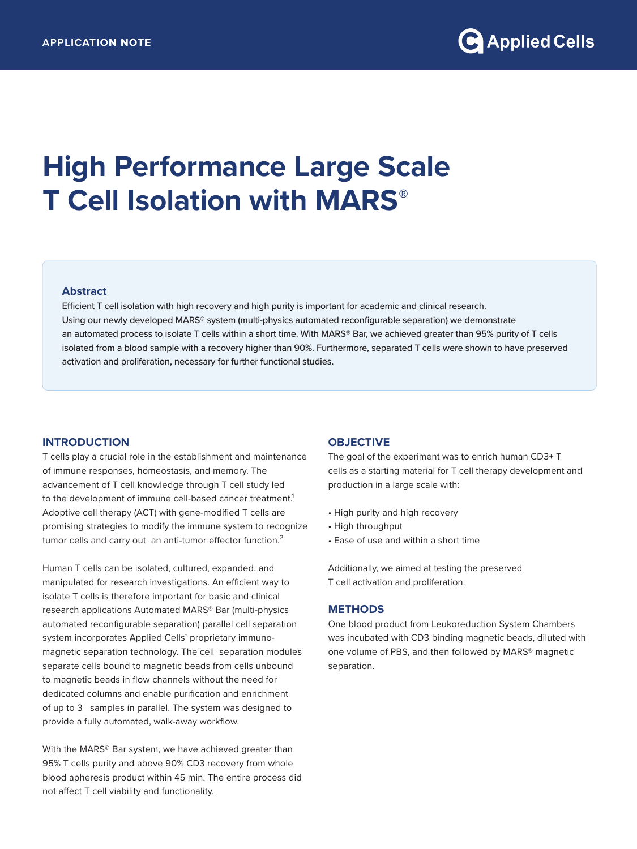# **High Performance Large Scale T Cell Isolation with MARS®**

### **Abstract**

Efficient T cell isolation with high recovery and high purity is important for academic and clinical research. Using our newly developed MARS® system (multi-physics automated reconfigurable separation) we demonstrate an automated process to isolate T cells within a short time. With MARS® Bar, we achieved greater than 95% purity of T cells isolated from a blood sample with a recovery higher than 90%. Furthermore, separated T cells were shown to have preserved activation and proliferation, necessary for further functional studies.

# **INTRODUCTION**

T cells play a crucial role in the establishment and maintenance of immune responses, homeostasis, and memory. The advancement of T cell knowledge through T cell study led to the development of immune cell-based cancer treatment.<sup>1</sup> Adoptive cell therapy (ACT) with gene-modified T cells are promising strategies to modify the immune system to recognize tumor cells and carry out an anti-tumor effector function.<sup>2</sup>

Human T cells can be isolated, cultured, expanded, and manipulated for research investigations. An efficient way to isolate T cells is therefore important for basic and clinical research applications Automated MARS® Bar (multi-physics automated reconfigurable separation) parallel cell separation system incorporates Applied Cells' proprietary immunomagnetic separation technology. The cell separation modules separate cells bound to magnetic beads from cells unbound to magnetic beads in flow channels without the need for dedicated columns and enable purification and enrichment of up to 3 samples in parallel. The system was designed to provide a fully automated, walk-away workflow.

With the MARS® Bar system, we have achieved greater than 95% T cells purity and above 90% CD3 recovery from whole blood apheresis product within 45 min. The entire process did not affect T cell viability and functionality.

# **OBJECTIVE**

The goal of the experiment was to enrich human CD3+ T cells as a starting material for T cell therapy development and production in a large scale with:

- High purity and high recovery
- High throughput
- Ease of use and within a short time

Additionally, we aimed at testing the preserved T cell activation and proliferation.

# **METHODS**

One blood product from Leukoreduction System Chambers was incubated with CD3 binding magnetic beads, diluted with one volume of PBS, and then followed by MARS® magnetic separation.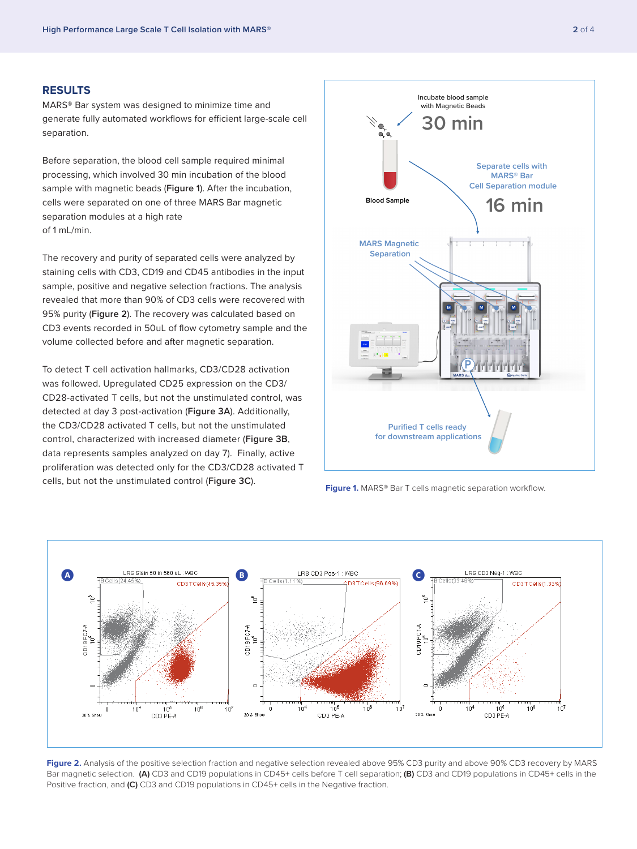#### **RESULTS**

MARS® Bar system was designed to minimize time and generate fully automated workflows for efficient large-scale cell separation.

Before separation, the blood cell sample required minimal processing, which involved 30 min incubation of the blood sample with magnetic beads (**Figure 1**). After the incubation, cells were separated on one of three MARS Bar magnetic separation modules at a high rate of 1 mL/min.

The recovery and purity of separated cells were analyzed by staining cells with CD3, CD19 and CD45 antibodies in the input sample, positive and negative selection fractions. The analysis revealed that more than 90% of CD3 cells were recovered with 95% purity (**Figure 2**). The recovery was calculated based on CD3 events recorded in 50uL of flow cytometry sample and the volume collected before and after magnetic separation.

To detect T cell activation hallmarks, CD3/CD28 activation was followed. Upregulated CD25 expression on the CD3/ CD28-activated T cells, but not the unstimulated control, was detected at day 3 post-activation (**Figure 3A**). Additionally, the CD3/CD28 activated T cells, but not the unstimulated control, characterized with increased diameter (**Figure 3B**, data represents samples analyzed on day 7). Finally, active proliferation was detected only for the CD3/CD28 activated T cells, but not the unstimulated control (**Figure 3C**). **Figure 1.** MARS® Bar T cells magnetic separation workflow.





Figure 2. Analysis of the positive selection fraction and negative selection revealed above 95% CD3 purity and above 90% CD3 recovery by MARS Bar magnetic selection. **(A)** CD3 and CD19 populations in CD45+ cells before T cell separation; **(B)** CD3 and CD19 populations in CD45+ cells in the Positive fraction, and **(C)** CD3 and CD19 populations in CD45+ cells in the Negative fraction.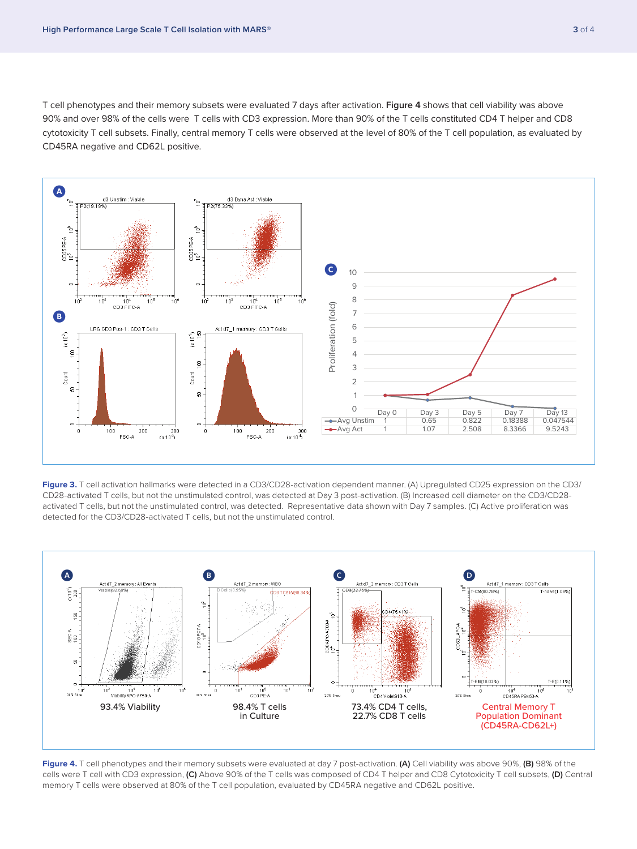T cell phenotypes and their memory subsets were evaluated 7 days after activation. **Figure 4** shows that cell viability was above 90% and over 98% of the cells were T cells with CD3 expression. More than 90% of the T cells constituted CD4 T helper and CD8 cytotoxicity T cell subsets. Finally, central memory T cells were observed at the level of 80% of the T cell population, as evaluated by CD45RA negative and CD62L positive.



**Figure 3.** T cell activation hallmarks were detected in a CD3/CD28-activation dependent manner. (A) Upregulated CD25 expression on the CD3/ CD28-activated T cells, but not the unstimulated control, was detected at Day 3 post-activation. (B) Increased cell diameter on the CD3/CD28 activated T cells, but not the unstimulated control, was detected. Representative data shown with Day 7 samples. (C) Active proliferation was detected for the CD3/CD28-activated T cells, but not the unstimulated control.



**Figure 4.** T cell phenotypes and their memory subsets were evaluated at day 7 post-activation. **(A)** Cell viability was above 90%, **(B)** 98% of the cells were T cell with CD3 expression, **(C)** Above 90% of the T cells was composed of CD4 T helper and CD8 Cytotoxicity T cell subsets, **(D)** Central memory T cells were observed at 80% of the T cell population, evaluated by CD45RA negative and CD62L positive.